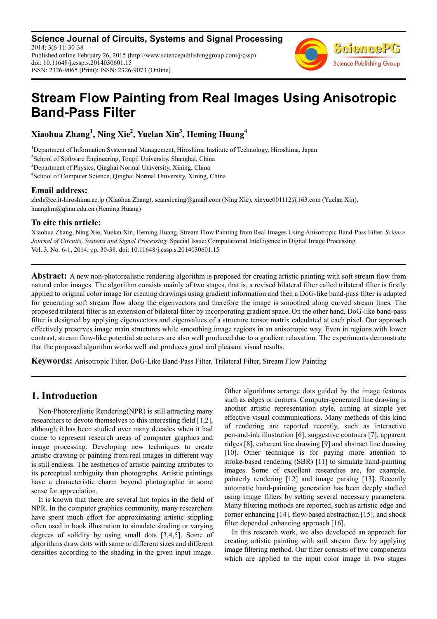**Science Journal of Circuits, Systems and Signal Processing** 2014; 3(6-1): 30-38 Published online February 26, 2015 (http://www.sciencepublishinggroup.com/j/cssp) doi: 10.11648/j.cssp.s.2014030601.15 ISSN: 2326-9065 (Print); ISSN: 2326-9073 (Online)



# **Stream Flow Painting from Real Images Using Anisotropic Band-Pass Filter**

**Xiaohua Zhang<sup>1</sup> , Ning Xie<sup>2</sup> , Yuelan Xin<sup>3</sup> , Heming Huang<sup>4</sup>**

Department of Information System and Management, Hiroshima Institute of Technology, Hiroshima, Japan <sup>2</sup>School of Software Engineering, Tongji University, Shanghai, China Department of Physics, Qinghai Normal University, Xining, China School of Computer Science, Qinghai Normal University, Xining, China

### **Email address:**

zhxh@cc.it-hiroshima.ac.jp (Xiaohua Zhang), seanxiening@gmail.com (Ning Xie), xinyue001112@163.com (Yuelan Xin), huanghm@qhnu.edu.cn (Heming Huang)

## **To cite this article:**

Xiaohua Zhang, Ning Xie, Yuelan Xin, Heming Huang. Stream Flow Painting from Real Images Using Anisotropic Band-Pass Filter. *Science Journal of Circuits, Systems and Signal Processing.* Special Issue: Computational Intelligence in Digital Image Processing. Vol. 3, No. 6-1, 2014, pp. 30-38. doi: 10.11648/j.cssp.s.2014030601.15

**Abstract:** A new non-photorealistic rendering algorithm is proposed for creating artistic painting with soft stream flow from natural color images. The algorithm consists mainly of two stages, that is, a revised bilateral filter called trilateral filter is firstly applied to original color image for creating drawings using gradient information and then a DoG-like band-pass filter is adapted for generating soft stream flow along the eigenvectors and therefore the image is smoothed along curved stream lines. The proposed trilateral filter is an extension of bilateral filter by incorporating gradient space. On the other hand, DoG-like band-pass filter is designed by applying eigenvectors and eigenvalues of a structure tensor matrix calculated at each pixel. Our approach effectively preserves image main structures while smoothing image regions in an anisotropic way. Even in regions with lower contrast, stream flow-like potential structures are also well produced due to a gradient relaxation. The experiments demonstrate that the proposed algorithm works well and produces good and pleasant visual results.

**Keywords:** Anisotropic Filter, DoG-Like Band-Pass Filter, Trilateral Filter, Stream Flow Painting

# **1. Introduction**

Non-Photorealistic Rendering(NPR) is still attracting many researchers to devote themselves to this interesting field [1,2], although it has been studied over many decades when it had come to represent research areas of computer graphics and image processing. Developing new techniques to create artistic drawing or painting from real images in different way is still endless. The aesthetics of artistic painting attributes to its perceptual ambiguity than photographs. Artistic paintings have a characteristic charm beyond photographic in some sense for appreciation.

It is known that there are several hot topics in the field of NPR. In the computer graphics community, many researchers have spent much effort for approximating artistic stippling often used in book illustration to simulate shading or varying degrees of solidity by using small dots [3,4,5]. Some of algorithms draw dots with same or different sizes and different densities according to the shading in the given input image.

Other algorithms arrange dots guided by the image features such as edges or corners. Computer-generated line drawing is another artistic representation style, aiming at simple yet effective visual communications. Many methods of this kind of rendering are reported recently, such as interactive pen-and-ink illustration [6], suggestive contours [7], apparent ridges [8], coherent line drawing [9] and abstract line drawing [10]. Other technique is for paying more attention to stroke-based rendering (SBR) [11] to simulate hand-painting images. Some of excellent researches are, for example, painterly rendering [12] and image parsing [13]. Recently automatic hand-painting generation has been deeply studied using image filters by setting several necessary parameters. Many filtering methods are reported, such as artistic edge and corner enhancing [14], flow-based abstraction [15], and shock filter depended enhancing approach [16].

In this research work, we also developed an approach for creating artistic painting with soft stream flow by applying image filtering method. Our filter consists of two components which are applied to the input color image in two stages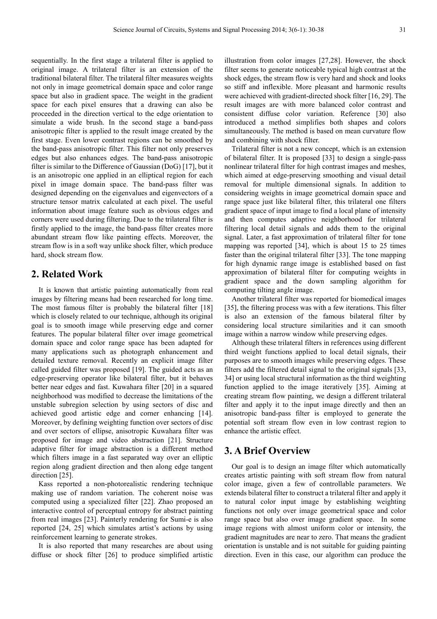sequentially. In the first stage a trilateral filter is applied to original image. A trilateral filter is an extension of the traditional bilateral filter. The trilateral filter measures weights not only in image geometrical domain space and color range space but also in gradient space. The weight in the gradient space for each pixel ensures that a drawing can also be proceeded in the direction vertical to the edge orientation to simulate a wide brush. In the second stage a band-pass anisotropic filter is applied to the result image created by the first stage. Even lower contrast regions can be smoothed by the band-pass anisotropic filter. This filter not only preserves edges but also enhances edges. The band-pass anisotropic filter is similar to the Difference of Gaussian (DoG) [17], but it is an anisotropic one applied in an elliptical region for each pixel in image domain space. The band-pass filter was designed depending on the eigenvalues and eigenvectors of a structure tensor matrix calculated at each pixel. The useful information about image feature such as obvious edges and corners were used during filtering. Due to the trilateral filter is firstly applied to the image, the band-pass filter creates more abundant stream flow like painting effects. Moreover, the stream flow is in a soft way unlike shock filter, which produce hard, shock stream flow.

# **2. Related Work**

It is known that artistic painting automatically from real images by filtering means had been researched for long time. The most famous filter is probably the bilateral filter [18] which is closely related to our technique, although its original goal is to smooth image while preserving edge and corner features. The popular bilateral filter over image geometrical domain space and color range space has been adapted for many applications such as photograph enhancement and detailed texture removal. Recently an explicit image filter called guided filter was proposed [19]. The guided acts as an edge-preserving operator like bilateral filter, but it behaves better near edges and fast. Kuwahara filter [20] in a squared neighborhood was modified to decrease the limitations of the unstable subregion selection by using sectors of disc and achieved good artistic edge and corner enhancing [14]. Moreover, by defining weighting function over sectors of disc and over sectors of ellipse, anisotropic Kuwahara filter was proposed for image and video abstraction [21]. Structure adaptive filter for image abstraction is a different method which filters image in a fast separated way over an elliptic region along gradient direction and then along edge tangent direction [25].

Kass reported a non-photorealistic rendering technique making use of random variation. The coherent noise was computed using a specialized filter [22]. Zhao proposed an interactive control of perceptual entropy for abstract painting from real images [23]. Painterly rendering for Sumi-e is also reported [24, 25] which simulates artist's actions by using reinforcement learning to generate strokes.

It is also reported that many researches are about using diffuse or shock filter [26] to produce simplified artistic

illustration from color images [27,28]. However, the shock filter seems to generate noticeable typical high contrast at the shock edges, the stream flow is very hard and shock and looks so stiff and inflexible. More pleasant and harmonic results were achieved with gradient-directed shock filter [16, 29]. The result images are with more balanced color contrast and consistent diffuse color variation. Reference [30] also introduced a method simplifies both shapes and colors simultaneously. The method is based on mean curvature flow and combining with shock filter.

Trilateral filter is not a new concept, which is an extension of bilateral filter. It is proposed [33] to design a single-pass nonlinear trilateral filter for high contrast images and meshes, which aimed at edge-preserving smoothing and visual detail removal for multiple dimensional signals. In addition to considering weights in image geometrical domain space and range space just like bilateral filter, this trilateral one filters gradient space of input image to find a local plane of intensity and then computes adaptive neighborhood for trilateral filtering local detail signals and adds them to the original signal. Later, a fast approximation of trilateral filter for tone mapping was reported [34], which is about 15 to 25 times faster than the original trilateral filter [33]. The tone mapping for high dynamic range image is established based on fast approximation of bilateral filter for computing weights in gradient space and the down sampling algorithm for computing tilting angle image.

Another trilateral filter was reported for biomedical images [35], the filtering process was with a few iterations. This filter is also an extension of the famous bilateral filter by considering local structure similarities and it can smooth image within a narrow window while preserving edges.

Although these trilateral filters in references using different third weight functions applied to local detail signals, their purposes are to smooth images while preserving edges. These filters add the filtered detail signal to the original signals [33, 34] or using local structural information as the third weighting function applied to the image iteratively [35]. Aiming at creating stream flow painting, we design a different trilateral filter and apply it to the input image directly and then an anisotropic band-pass filter is employed to generate the potential soft stream flow even in low contrast region to enhance the artistic effect.

# **3. A Brief Overview**

Our goal is to design an image filter which automatically creates artistic painting with soft stream flow from natural color image, given a few of controllable parameters. We extends bilateral filter to construct a trilateral filter and apply it to natural color input image by establishing weighting functions not only over image geometrical space and color range space but also over image gradient space. In some image regions with almost uniform color or intensity, the gradient magnitudes are near to zero. That means the gradient orientation is unstable and is not suitable for guiding painting direction. Even in this case, our algorithm can produce the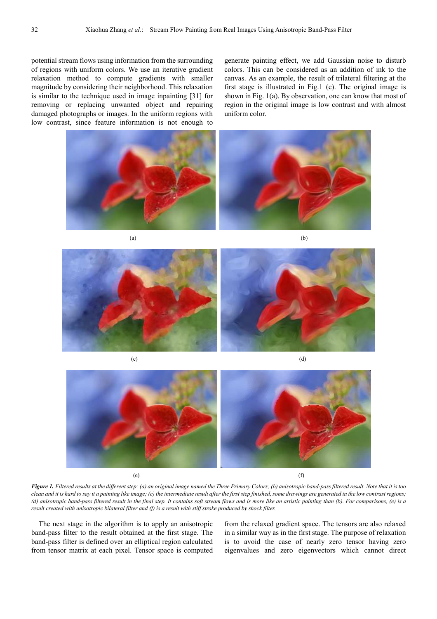potential stream flows using information from the surrounding of regions with uniform colors. We use an iterative gradient relaxation method to compute gradients with smaller magnitude by considering their neighborhood. This relaxation is similar to the technique used in image inpainting [31] for removing or replacing unwanted object and repairing damaged photographs or images. In the uniform regions with low contrast, since feature information is not enough to generate painting effect, we add Gaussian noise to disturb colors. This can be considered as an addition of ink to the canvas. As an example, the result of trilateral filtering at the first stage is illustrated in Fig.1 (c). The original image is shown in Fig. 1(a). By observation, one can know that most of region in the original image is low contrast and with almost uniform color.





 $(c)$  (d)



*Figure 1. Filtered results at the different step: (a) an original image named the Three Primary Colors; (b) anisotropic band-pass filtered result. Note that it is too clean and it is hard to say it a painting like image; (c) the intermediate result after the first step finished, some drawings are generated in the low contrast regions; (d) anisotropic band-pass filtered result in the final step. It contains soft stream flows and is more like an artistic painting than (b). For comparisons, (e) is a result created with anisotropic bilateral filter and (f) is a result with stiff stroke produced by shock filter.* 

The next stage in the algorithm is to apply an anisotropic band-pass filter to the result obtained at the first stage. The band-pass filter is defined over an elliptical region calculated from tensor matrix at each pixel. Tensor space is computed from the relaxed gradient space. The tensors are also relaxed in a similar way as in the first stage. The purpose of relaxation is to avoid the case of nearly zero tensor having zero eigenvalues and zero eigenvectors which cannot direct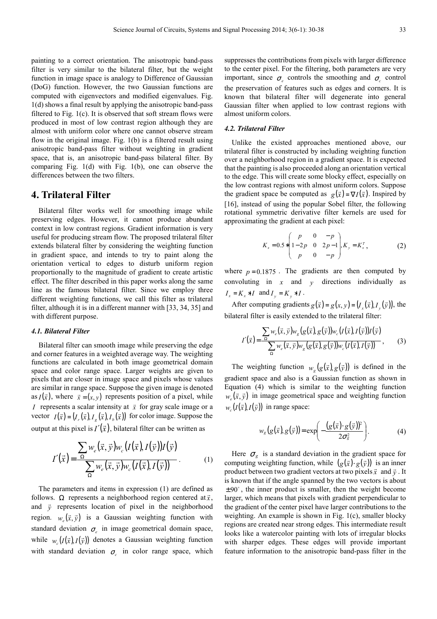painting to a correct orientation. The anisotropic band-pass filter is very similar to the bilateral filter, but the weight function in image space is analogy to Difference of Gaussian (DoG) function. However, the two Gaussian functions are computed with eigenvectors and modified eigenvalues. Fig. 1(d) shows a final result by applying the anisotropic band-pass filtered to Fig. 1(c). It is observed that soft stream flows were produced in most of low contrast region although they are almost with uniform color where one cannot observe stream flow in the original image. Fig. 1(b) is a filtered result using anisotropic band-pass filter without weighting in gradient space, that is, an anisotropic band-pass bilateral filter. By comparing Fig. 1(d) with Fig. 1(b), one can observe the differences between the two filters.

## **4. Trilateral Filter**

Bilateral filter works well for smoothing image while preserving edges. However, it cannot produce abundant context in low contrast regions. Gradient information is very useful for producing stream flow. The proposed trilateral filter extends bilateral filter by considering the weighting function in gradient space, and intends to try to paint along the orientation vertical to edges to disturb uniform region proportionally to the magnitude of gradient to create artistic effect. The filter described in this paper works along the same line as the famous bilateral filter. Since we employ three different weighting functions, we call this filter as trilateral filter, although it is in a different manner with [33, 34, 35] and with different purpose.

#### *4.1. Bilateral Filter*

Bilateral filter can smooth image while preserving the edge and corner features in a weighted average way. The weighting functions are calculated in both image geometrical domain space and color range space. Larger weights are given to pixels that are closer in image space and pixels whose values are similar in range space. Suppose the given image is denoted as  $I(\bar{x})$ , where  $\bar{x} = (x, y)$  represents position of a pixel, while *I* represents a scalar intensity at  $\vec{x}$  for gray scale image or a vector  $I(\bar{x}) = (I_r(\bar{x}), I_g(\bar{x}), I_b(\bar{x}))$  for color image. Suppose the output at this pixel is  $I'(\vec{x})$ , bilateral filter can be written as

$$
I'(\vec{x}) = \frac{\sum_{\Omega} w_e(\vec{x}, \vec{y}) w_c(I(\vec{x}), I(\vec{y})) I(\vec{y})}{\sum_{\Omega} w_e(\vec{x}, \vec{y}) w_c(I(\vec{x}), I(\vec{y}))}.
$$
 (1)

The parameters and items in expression (1) are defined as follows. Ω represents a neighborhood region centered at  $\vec{x}$ , and  $\vec{y}$  represents location of pixel in the neighborhood region.  $w_e(\vec{x}, \vec{y})$  is a Gaussian weighting function with standard deviation  $\sigma_e$  in image geometrical domain space, while  $w_c(I(\vec{x}), I(\vec{y}))$  denotes a Gaussian weighting function with standard deviation  $\sigma_c$  in color range space, which suppresses the contributions from pixels with larger difference to the center pixel. For the filtering, both parameters are very important, since  $\sigma_e$  controls the smoothing and  $\sigma_c$  control the preservation of features such as edges and corners. It is known that bilateral filter will degenerate into general Gaussian filter when applied to low contrast regions with almost uniform colors.

#### *4.2. Trilateral Filter*

Unlike the existed approaches mentioned above, our trilateral filter is constructed by including weighting function over a neighborhood region in a gradient space. It is expected that the painting is also proceeded along an orientation vertical to the edge. This will create some blocky effect, especially on the low contrast regions with almost uniform colors. Suppose the gradient space be computed as  $g(\vec{x}) = \nabla I(\vec{x})$ . Inspired by [16], instead of using the popular Sobel filter, the following rotational symmetric derivative filter kernels are used for approximating the gradient at each pixel:

$$
K_x = 0.5 * \begin{pmatrix} p & 0 & -p \\ 1-2p & 0 & 2p-1 \\ p & 0 & -p \end{pmatrix}, K_y = K_x^T,
$$
 (2)

where  $p = 0.1875$ . The gradients are then computed by convoluting in  $x$  and  $y$  directions individually as  $I_x = K_x * I$  and  $I_y = K_y * I$ .

After computing gradients  $g(\vec{x}) = g(x, y) = (I_x(\vec{x}), I_y(\vec{y}))$ , the bilateral filter is easily extended to the trilateral filter:

$$
I'(\vec{x}) = \frac{\sum_{\Omega} w_e(\vec{x}, \vec{y}) w_g(g(\vec{x}), g(\vec{y})) w_c(I(\vec{x}), I(\vec{y})) I(\vec{y})}{\sum_{\Omega} w_e(\vec{x}, \vec{y}) w_g(g(\vec{x}), g(\vec{y})) w_c(I(\vec{x}), I(\vec{y}))},
$$
(3)

The weighting function  $w_g(g(\vec{x}), g(\vec{y}))$  is defined in the gradient space and also is a Gaussian function as shown in Equation (4) which is similar to the weighting function  $w_e(\vec{x}, \vec{y})$  in image geometrical space and weighting function  $w_c(I(\vec{x}), I(\vec{y}))$  in range space:

$$
w_g(g(\vec{x}), g(\vec{y})) = \exp\left(-\frac{(g(\vec{x}) \cdot g(\vec{y}))^2}{2\sigma_g^2}\right).
$$
 (4)

Here  $\sigma_{g}$  is a standard deviation in the gradient space for computing weighting function, while  $(g(\vec{x}) \cdot g(\vec{y}))$  is an inner product between two gradient vectors at two pixels  $\vec{x}$  and  $\vec{y}$ . It is known that if the angle spanned by the two vectors is about  $\pm 90^{\circ}$ , the inner product is smaller, then the weight become larger, which means that pixels with gradient perpendicular to the gradient of the center pixel have larger contributions to the weighting. An example is shown in Fig. 1(c), smaller blocky regions are created near strong edges. This intermediate result looks like a watercolor painting with lots of irregular blocks with sharper edges. These edges will provide important feature information to the anisotropic band-pass filter in the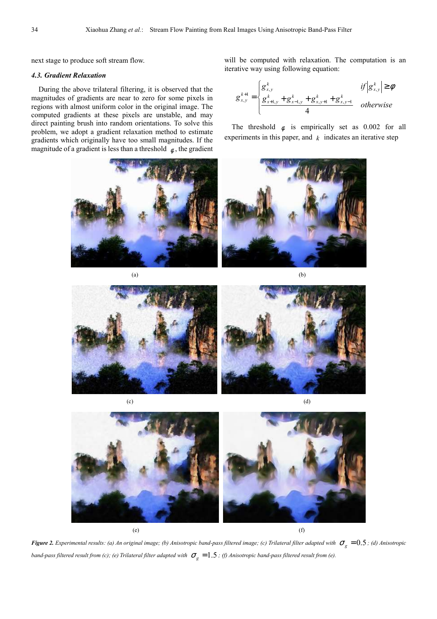next stage to produce soft stream flow.

#### *4.3. Gradient Relaxation*

During the above trilateral filtering, it is observed that the magnitudes of gradients are near to zero for some pixels in regions with almost uniform color in the original image. The computed gradients at these pixels are unstable, and may direct painting brush into random orientations. To solve this problem, we adopt a gradient relaxation method to estimate gradients which originally have too small magnitudes. If the magnitude of a gradient is less than a threshold  $\phi$ , the gradient



will be computed with relaxation. The computation is an iterative way using following equation:

$$
g_{x,y}^{k+1} = \begin{cases} g_{x,y}^k & \text{if } |g_{x,y}^k| \ge \phi \\ \frac{g_{x+1,y}^k + g_{x-1,y}^k + g_{x,y+1}^k + g_{x,y-1}^k}{4} & \text{otherwise} \end{cases}
$$

The threshold  $\phi$  is empirically set as 0.002 for all experiments in this paper, and  $k$  indicates an iterative step



 $(a)$  (b)







*Figure 2. Experimental results: (a) An original image; (b) Anisotropic band-pass filtered image; (c) Trilateral filter adapted with* $\sigma_{g} = 0.5$ *; (d) Anisotropic band-pass filtered result from (c); (e) Trilateral filter adapted with*  $\sigma_g = 1.5$  *; (f) Anisotropic band-pass filtered result from (e).*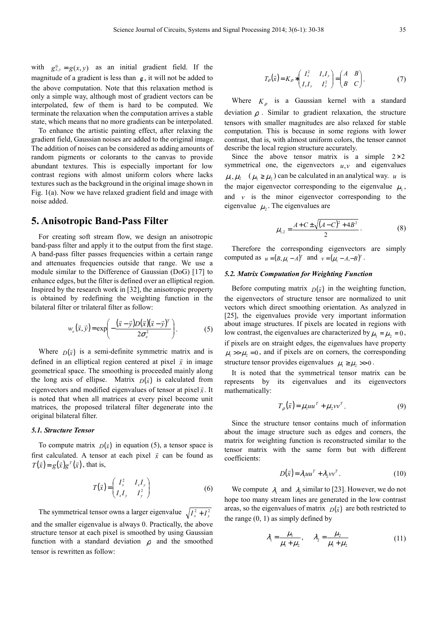with  $g_{x,y}^0 = g(x, y)$  as an initial gradient field. If the magnitude of a gradient is less than  $\phi$ , it will not be added to the above computation. Note that this relaxation method is only a simple way, although most of gradient vectors can be interpolated, few of them is hard to be computed. We terminate the relaxation when the computation arrives a stable state, which means that no more gradients can be interpolated.

To enhance the artistic painting effect, after relaxing the gradient field, Gaussian noises are added to the original image. The addition of noises can be considered as adding amounts of random pigments or colorants to the canvas to provide abundant textures. This is especially important for low contrast regions with almost uniform colors where lacks textures such as the background in the original image shown in Fig. 1(a). Now we have relaxed gradient field and image with noise added.

# **5. Anisotropic Band-Pass Filter**

For creating soft stream flow, we design an anisotropic band-pass filter and apply it to the output from the first stage. A band-pass filter passes frequencies within a certain range and attenuates frequencies outside that range. We use a module similar to the Difference of Gaussian (DoG) [17] to enhance edges, but the filter is defined over an elliptical region. Inspired by the research work in [32], the anisotropic property is obtained by redefining the weighting function in the bilateral filter or trilateral filter as follow:

$$
w_e(\vec{x}, \vec{y}) = \exp\left(-\frac{(\vec{x} - \vec{y})D(\vec{x})(\vec{x} - \vec{y})^T}{2\sigma_e^2}\right).
$$
 (5)

Where  $D(\vec{x})$  is a semi-definite symmetric matrix and is defined in an elliptical region centered at pixel  $\vec{x}$  in image geometrical space. The smoothing is proceeded mainly along the long axis of ellipse. Matrix  $\overline{D}(\overline{x})$  is calculated from eigenvectors and modified eigenvalues of tensor at pixel  $\vec{x}$ . It is noted that when all matrices at every pixel become unit matrices, the proposed trilateral filter degenerate into the original bilateral filter.

#### *5.1. Structure Tensor*

To compute matrix  $D(\vec{x})$  in equation (5), a tensor space is first calculated. A tensor at each pixel  $\vec{x}$  can be found as  $T(\vec{x}) = g(\vec{x})g^{T}(\vec{x})$ , that is,

$$
T(\vec{x}) = \begin{pmatrix} I_x^2 & I_x I_y \\ I_x I_y & I_y^2 \end{pmatrix} \tag{6}
$$

The symmetrical tensor owns a larger eigenvalue  $\sqrt{I_x^2 + I_y^2}$ and the smaller eigenvalue is always 0. Practically, the above

structure tensor at each pixel is smoothed by using Gaussian function with a standard deviation  $\rho$  and the smoothed tensor is rewritten as follow:

$$
T_{\rho}(\vec{x}) = K_{\rho} * \begin{pmatrix} I_x^2 & I_x I_y \\ I_x I_y & I_y^2 \end{pmatrix} = \begin{pmatrix} A & B \\ B & C \end{pmatrix}.
$$
 (7)

Where  $K_{\rho}$  is a Gaussian kernel with a standard deviation  $\rho$ . Similar to gradient relaxation, the structure tensors with smaller magnitudes are also relaxed for stable computation. This is because in some regions with lower contrast, that is, with almost uniform colors, the tensor cannot describe the local region structure accurately.

Since the above tensor matrix is a simple  $2\times 2$ symmetrical one, the eigenvectors  $u, v$  and eigenvalues  $\mu_1, \mu_2 \quad (\mu_1 \ge \mu_2)$  can be calculated in an analytical way. *u* is the major eigenvector corresponding to the eigenvalue  $\mu_1$ , and  $v$  is the minor eigenvector corresponding to the eigenvalue  $\mu_2$ . The eigenvalues are

$$
\mu_{1,2} = \frac{A + C \pm \sqrt{(A - C)^2 + 4B^2}}{2}.
$$
 (8)

Therefore the corresponding eigenvectors are simply computed as  $u = (B, \mu_1 - A)^T$  and  $v = (\mu_1 - A, -B)^T$ .

### *5.2. Matrix Computation for Weighting Function*

Before computing matrix  $D(\vec{x})$  in the weighting function, the eigenvectors of structure tensor are normalized to unit vectors which direct smoothing orientation. As analyzed in [25], the eigenvalues provide very important information about image structures. If pixels are located in regions with low contrast, the eigenvalues are characterized by  $\mu_1 = \mu_2 = 0$ , if pixels are on straight edges, the eigenvalues have property  $\mu_1 \gg \mu_2 = 0$ , and if pixels are on corners, the corresponding structure tensor provides eigenvalues  $\mu_1 \ge \mu_2 >> 0$ .

It is noted that the symmetrical tensor matrix can be represents by its eigenvalues and its eigenvectors mathematically:

$$
T_{\rho}(\vec{x}) = \mu_1 u u^T + \mu_2 v v^T.
$$
 (9)

Since the structure tensor contains much of information about the image structure such as edges and corners, the matrix for weighting function is reconstructed similar to the tensor matrix with the same form but with different coefficients:

$$
D(\vec{x}) = \lambda_1 u u^T + \lambda_2 v v^T.
$$
 (10)

We compute  $\lambda_1$  and  $\lambda_2$  similar to [23]. However, we do not hope too many stream lines are generated in the low contrast areas, so the eigenvalues of matrix  $D(\vec{x})$  are both restricted to the range  $(0, 1)$  as simply defined by

$$
\lambda_1 = \frac{\mu_1}{\mu_1 + \mu_2}, \quad \lambda_2 = \frac{\mu_2}{\mu_1 + \mu_2} \tag{11}
$$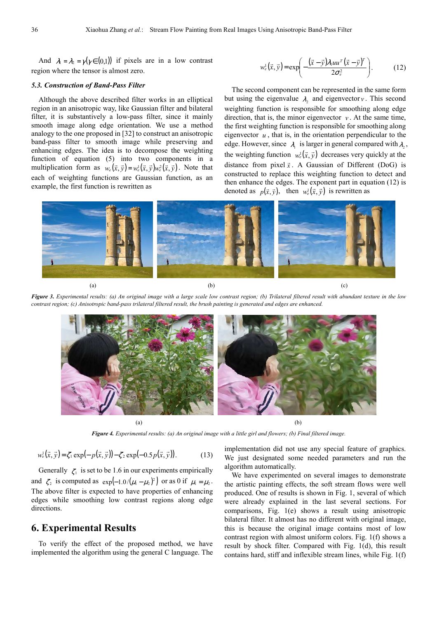And  $\lambda_1 = \lambda_2 = \gamma(\gamma \in (0,1))$  if pixels are in a low contrast region where the tensor is almost zero.

#### *5.3. Construction of Band-Pass Filter*

Although the above described filter works in an elliptical region in an anisotropic way, like Gaussian filter and bilateral filter, it is substantively a low-pass filter, since it mainly smooth image along edge orientation. We use a method analogy to the one proposed in [32] to construct an anisotropic band-pass filter to smooth image while preserving and enhancing edges. The idea is to decompose the weighting function of equation (5) into two components in a multiplication form as  $w_e(\vec{x}, \vec{y}) = w_e^i(\vec{x}, \vec{y})w_e^2(\vec{x}, \vec{y})$ . Note that each of weighting functions are Gaussian function, as an example, the first function is rewritten as

$$
w_e^1(\vec{x}, \vec{y}) = \exp\left(-\frac{(\vec{x} - \vec{y})\lambda_1 u u^T (\vec{x} - \vec{y})^T}{2\sigma_e^2}\right).
$$
 (12)

The second component can be represented in the same form but using the eigenvalue  $\lambda_2$  and eigenvector *v*. This second weighting function is responsible for smoothing along edge direction, that is, the minor eigenvector  $v$ . At the same time, the first weighting function is responsible for smoothing along eigenvector  $u$ , that is, in the orientation perpendicular to the edge. However, since  $\lambda_1$  is larger in general compared with  $\lambda_2$ , the weighting function  $w_e^1(\vec{x}, \vec{y})$  decreases very quickly at the distance from pixel  $\vec{x}$ . A Gaussian of Different (DoG) is constructed to replace this weighting function to detect and then enhance the edges. The exponent part in equation (12) is denoted as  $p(\vec{x}, \vec{y})$ , then  $w_e^1(\vec{x}, \vec{y})$  is rewritten as



*Figure 3. Experimental results: (a) An original image with a large scale low contrast region; (b) Trilateral filtered result with abundant texture in the low contrast region; (c) Anisotropic band-pass trilateral filtered result, the brush painting is generated and edges are enhanced.* 



*Figure 4. Experimental results: (a) An original image with a little girl and flowers; (b) Final filtered image.*

$$
w_e^1(\vec{x}, \vec{y}) = \zeta_1 \exp(-p(\vec{x}, \vec{y})) - \zeta_2 \exp(-0.5p(\vec{x}, \vec{y})).
$$
 (13)

Generally  $\zeta_1$  is set to be 1.6 in our experiments empirically and  $\zeta_2$  is computed as  $\exp(-1.0/(\mu_1 - \mu_2)^2)$  or as 0 if  $\mu_1 = \mu_2$ . The above filter is expected to have properties of enhancing edges while smoothing low contrast regions along edge directions.

# **6. Experimental Results**

To verify the effect of the proposed method, we have implemented the algorithm using the general C language. The implementation did not use any special feature of graphics. We just designated some needed parameters and run the algorithm automatically.

We have experimented on several images to demonstrate the artistic painting effects, the soft stream flows were well produced. One of results is shown in Fig. 1, several of which were already explained in the last several sections. For comparisons, Fig. 1(e) shows a result using anisotropic bilateral filter. It almost has no different with original image, this is because the original image contains most of low contrast region with almost uniform colors. Fig. 1(f) shows a result by shock filter. Compared with Fig. 1(d), this result contains hard, stiff and inflexible stream lines, while Fig. 1(f)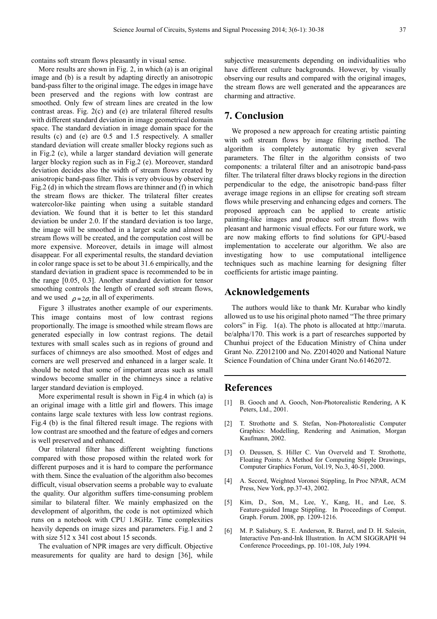contains soft stream flows pleasantly in visual sense.

More results are shown in Fig. 2, in which (a) is an original image and (b) is a result by adapting directly an anisotropic band-pass filter to the original image. The edges in image have been preserved and the regions with low contrast are smoothed. Only few of stream lines are created in the low contrast areas. Fig. 2(c) and (e) are trilateral filtered results with different standard deviation in image geometrical domain space. The standard deviation in image domain space for the results (c) and (e) are 0.5 and 1.5 respectively. A smaller standard deviation will create smaller blocky regions such as in Fig.2 (c), while a larger standard deviation will generate larger blocky region such as in Fig.2 (e). Moreover, standard deviation decides also the width of stream flows created by anisotropic band-pass filter. This is very obvious by observing Fig.2 (d) in which the stream flows are thinner and (f) in which the stream flows are thicker. The trilateral filter creates watercolor-like painting when using a suitable standard deviation. We found that it is better to let this standard deviation be under 2.0. If the standard deviation is too large, the image will be smoothed in a larger scale and almost no stream flows will be created, and the computation cost will be more expensive. Moreover, details in image will almost disappear. For all experimental results, the standard deviation in color range space is set to be about 31.6 empirically, and the standard deviation in gradient space is recommended to be in the range [0.05, 0.3]. Another standard deviation for tensor smoothing controls the length of created soft stream flows, and we used  $\rho = 2\sigma_e$  in all of experiments.

Figure 3 illustrates another example of our experiments. This image contains most of low contrast regions proportionally. The image is smoothed while stream flows are generated especially in low contrast regions. The detail textures with small scales such as in regions of ground and surfaces of chimneys are also smoothed. Most of edges and corners are well preserved and enhanced in a larger scale. It should be noted that some of important areas such as small windows become smaller in the chimneys since a relative larger standard deviation is employed.

More experimental result is shown in Fig.4 in which (a) is an original image with a little girl and flowers. This image contains large scale textures with less low contrast regions. Fig.4 (b) is the final filtered result image. The regions with low contrast are smoothed and the feature of edges and corners is well preserved and enhanced.

Our trilateral filter has different weighting functions compared with those proposed within the related work for different purposes and it is hard to compare the performance with them. Since the evaluation of the algorithm also becomes difficult, visual observation seems a probable way to evaluate the quality. Our algorithm suffers time-consuming problem similar to bilateral filter. We mainly emphasized on the development of algorithm, the code is not optimized which runs on a notebook with CPU 1.8GHz. Time complexities heavily depends on image sizes and parameters. Fig.1 and 2 with size 512 x 341 cost about 15 seconds.

The evaluation of NPR images are very difficult. Objective measurements for quality are hard to design [36], while subjective measurements depending on individualities who have different culture backgrounds. However, by visually observing our results and compared with the original images, the stream flows are well generated and the appearances are charming and attractive.

# **7. Conclusion**

We proposed a new approach for creating artistic painting with soft stream flows by image filtering method. The algorithm is completely automatic by given several parameters. The filter in the algorithm consists of two components: a trilateral filter and an anisotropic band-pass filter. The trilateral filter draws blocky regions in the direction perpendicular to the edge, the anisotropic band-pass filter average image regions in an ellipse for creating soft stream flows while preserving and enhancing edges and corners. The proposed approach can be applied to create artistic painting-like images and produce soft stream flows with pleasant and harmonic visual effects. For our future work, we are now making efforts to find solutions for GPU-based implementation to accelerate our algorithm. We also are investigating how to use computational intelligence techniques such as machine learning for designing filter coefficients for artistic image painting.

### **Acknowledgements**

The authors would like to thank Mr. Kurabar who kindly allowed us to use his original photo named "The three primary colors" in Fig. 1(a). The photo is allocated at http://maruta. be/alpha/170. This work is a part of researches supported by Chunhui project of the Education Ministry of China under Grant No. Z2012100 and No. Z2014020 and National Nature Science Foundation of China under Grant No.61462072.

### **References**

- [1] B. Gooch and A. Gooch, Non-Photorealistic Rendering, A K Peters, Ltd., 2001.
- [2] T. Strothotte and S. Stefan, Non-Photorealistic Computer Graphics: Modelling, Rendering and Animation, Morgan Kaufmann, 2002.
- [3] O. Deussen, S. Hiller C. Van Overveld and T. Strothotte, Floating Points: A Method for Computing Stipple Drawings, Computer Graphics Forum, Vol.19, No.3, 40-51, 2000.
- [4] A. Secord, Weighted Voronoi Stippling, In Proc NPAR, ACM Press, New York, pp.37-43, 2002.
- [5] Kim, D., Son, M., Lee, Y., Kang, H., and Lee, S. Feature-guided Image Stippling. In Proceedings of Comput. Graph. Forum. 2008, pp. 1209-1216.
- [6] M. P. Salisbury, S. E. Anderson, R. Barzel, and D. H. Salesin, Interactive Pen-and-Ink Illustration. In ACM SIGGRAPH 94 Conference Proceedings, pp. 101-108, July 1994.